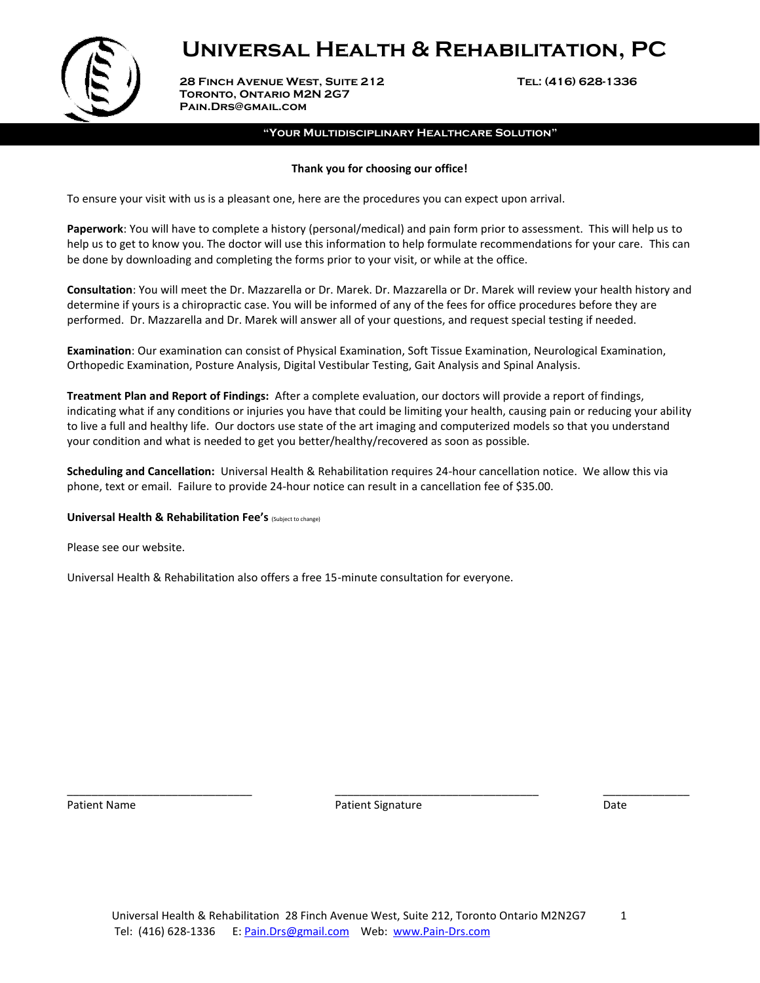

 **28 Finch Avenue West, Suite 212 Tel: (416) 628-1336 Toronto, Ontario M2N 2G7 Pain.Drs@gmail.com**

#### **"Your Multidisciplinary Healthcare Solution"**

#### **Thank you for choosing our office!**

To ensure your visit with us is a pleasant one, here are the procedures you can expect upon arrival.

**Paperwork**: You will have to complete a history (personal/medical) and pain form prior to assessment. This will help us to help us to get to know you. The doctor will use this information to help formulate recommendations for your care. This can be done by downloading and completing the forms prior to your visit, or while at the office.

**Consultation**: You will meet the Dr. Mazzarella or Dr. Marek. Dr. Mazzarella or Dr. Marek will review your health history and determine if yours is a chiropractic case. You will be informed of any of the fees for office procedures before they are performed. Dr. Mazzarella and Dr. Marek will answer all of your questions, and request special testing if needed.

**Examination**: Our examination can consist of Physical Examination, Soft Tissue Examination, Neurological Examination, Orthopedic Examination, Posture Analysis, Digital Vestibular Testing, Gait Analysis and Spinal Analysis.

**Treatment Plan and Report of Findings:** After a complete evaluation, our doctors will provide a report of findings, indicating what if any conditions or injuries you have that could be limiting your health, causing pain or reducing your ability to live a full and healthy life. Our doctors use state of the art imaging and computerized models so that you understand your condition and what is needed to get you better/healthy/recovered as soon as possible.

**Scheduling and Cancellation:** Universal Health & Rehabilitation requires 24-hour cancellation notice. We allow this via phone, text or email. Failure to provide 24-hour notice can result in a cancellation fee of \$35.00.

#### **Universal Health & Rehabilitation Fee's** (Subject to change)

Please see our website.

Universal Health & Rehabilitation also offers a free 15-minute consultation for everyone.

\_\_\_\_\_\_\_\_\_\_\_\_\_\_\_\_\_\_\_\_\_\_\_\_\_\_\_\_\_\_ \_\_\_\_\_\_\_\_\_\_\_\_\_\_\_\_\_\_\_\_\_\_\_\_\_\_\_\_\_\_\_\_\_ \_\_\_\_\_\_\_\_\_\_\_\_\_\_ Patient Name **Patient Signature Patient Signature Patient Signature Patient Signature Patient Signature Date**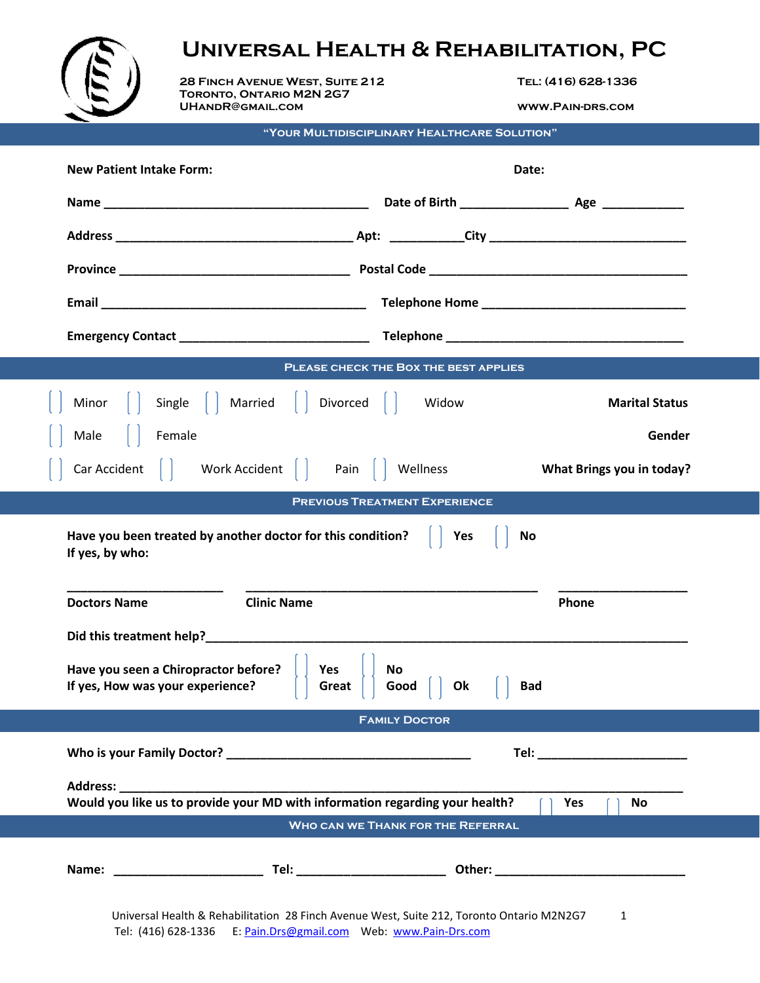

 **28 Finch Avenue West, Suite 212 Tel: (416) 628-1336 Toronto, Ontario M2N 2G7 UHandR@gmail.com www.Pain-drs.com**

**"Your Multidisciplinary Healthcare Solution"**

| <b>New Patient Intake Form:</b>                                                                                             | Date:                                                                                                         |  |  |  |  |  |
|-----------------------------------------------------------------------------------------------------------------------------|---------------------------------------------------------------------------------------------------------------|--|--|--|--|--|
|                                                                                                                             |                                                                                                               |  |  |  |  |  |
|                                                                                                                             |                                                                                                               |  |  |  |  |  |
|                                                                                                                             |                                                                                                               |  |  |  |  |  |
|                                                                                                                             |                                                                                                               |  |  |  |  |  |
|                                                                                                                             |                                                                                                               |  |  |  |  |  |
|                                                                                                                             | PLEASE CHECK THE BOX THE BEST APPLIES                                                                         |  |  |  |  |  |
| Minor   Single   Married   Divorced   Widow                                                                                 | <b>Marital Status</b>                                                                                         |  |  |  |  |  |
| Male   Female                                                                                                               | Gender                                                                                                        |  |  |  |  |  |
| Car Accident   Work Accident   Pain   Wellness                                                                              | What Brings you in today?                                                                                     |  |  |  |  |  |
|                                                                                                                             | <b>PREVIOUS TREATMENT EXPERIENCE</b>                                                                          |  |  |  |  |  |
| Have you been treated by another doctor for this condition?<br>If yes, by who:                                              | Yes<br>No                                                                                                     |  |  |  |  |  |
| <b>Clinic Name</b><br><b>Doctors Name</b>                                                                                   | Phone                                                                                                         |  |  |  |  |  |
| Have you seen a Chiropractor before?<br>Yes<br>No.<br>If yes, How was your experience?<br>Good<br>Ok<br>Great<br><b>Bad</b> |                                                                                                               |  |  |  |  |  |
| <b>FAMILY DOCTOR</b>                                                                                                        |                                                                                                               |  |  |  |  |  |
|                                                                                                                             | Tel: with the contract of the contract of the contract of the contract of the contract of the contract of the |  |  |  |  |  |
| Address: Andreas Address:<br>Would you like us to provide your MD with information regarding your health?                   | Yes<br>No                                                                                                     |  |  |  |  |  |
|                                                                                                                             | WHO CAN WE THANK FOR THE REFERRAL                                                                             |  |  |  |  |  |
|                                                                                                                             |                                                                                                               |  |  |  |  |  |
|                                                                                                                             | Universal Health & Rehabilitation 28 Finch Avenue West, Suite 212, Toronto Ontario M2N2G7 1                   |  |  |  |  |  |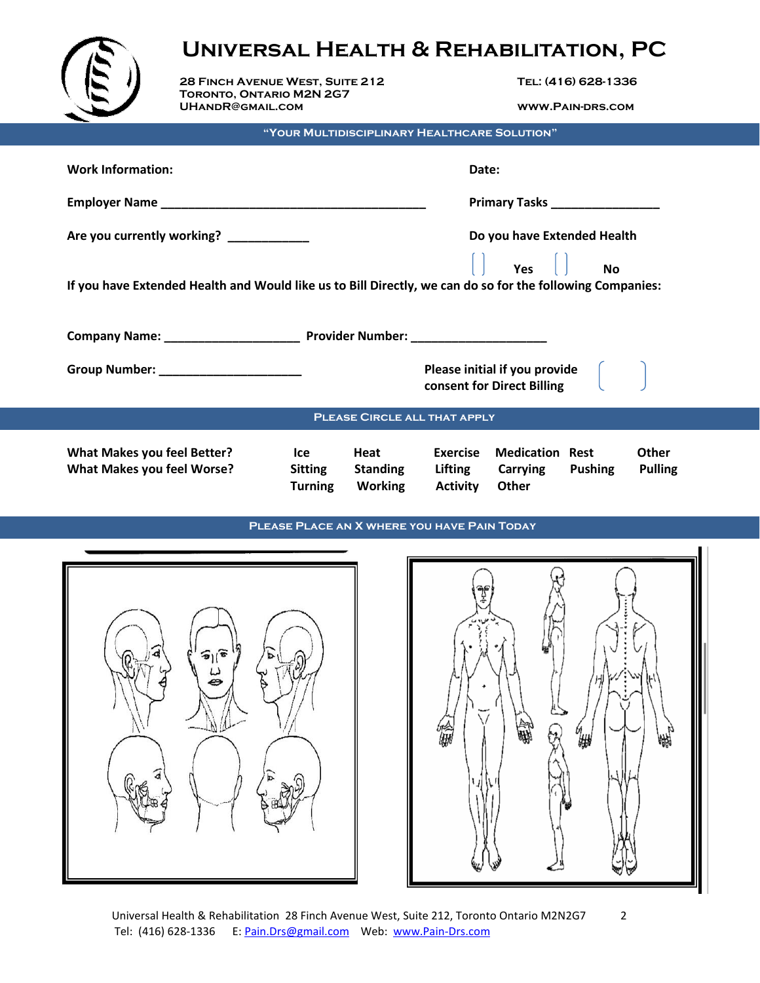|                                                                                                                             | <b>UNIVERSAL HEALTH &amp; REHABILITATION, PC</b>           |                       |                                              |                                   |                                                                     |                |                                |  |
|-----------------------------------------------------------------------------------------------------------------------------|------------------------------------------------------------|-----------------------|----------------------------------------------|-----------------------------------|---------------------------------------------------------------------|----------------|--------------------------------|--|
|                                                                                                                             | 28 FINCH AVENUE WEST, SUITE 212                            |                       |                                              | TEL: (416) 628-1336               |                                                                     |                |                                |  |
|                                                                                                                             | <b>TORONTO, ONTARIO M2N 2G7</b><br><b>UHANDR@GMAIL.COM</b> |                       |                                              | <b>WWW.PAIN-DRS.COM</b>           |                                                                     |                |                                |  |
|                                                                                                                             |                                                            |                       | "YOUR MULTIDISCIPLINARY HEALTHCARE SOLUTION" |                                   |                                                                     |                |                                |  |
| <b>Work Information:</b>                                                                                                    |                                                            |                       |                                              | Date:                             |                                                                     |                |                                |  |
|                                                                                                                             |                                                            |                       |                                              |                                   |                                                                     |                |                                |  |
|                                                                                                                             | Are you currently working? ___________                     |                       |                                              |                                   | Do you have Extended Health                                         |                |                                |  |
| $\overline{N}$<br>If you have Extended Health and Would like us to Bill Directly, we can do so for the following Companies: |                                                            |                       |                                              |                                   |                                                                     |                |                                |  |
|                                                                                                                             |                                                            |                       |                                              |                                   |                                                                     |                |                                |  |
|                                                                                                                             |                                                            |                       |                                              |                                   | Please initial if you provide $\vert$<br>consent for Direct Billing |                |                                |  |
| <b>PLEASE CIRCLE ALL THAT APPLY</b>                                                                                         |                                                            |                       |                                              |                                   |                                                                     |                |                                |  |
| <b>What Makes you feel Better?</b><br>What Makes you feel Worse?                                                            |                                                            | lce<br><b>Sitting</b> | Heat<br><b>Standing</b>                      | <b>Exercise</b><br><b>Lifting</b> | <b>Medication Rest</b><br>Carrying                                  | <b>Pushing</b> | <b>Other</b><br><b>Pulling</b> |  |

# **Please Place an X where you have Pain Today**

**Turning Working Activity Other**



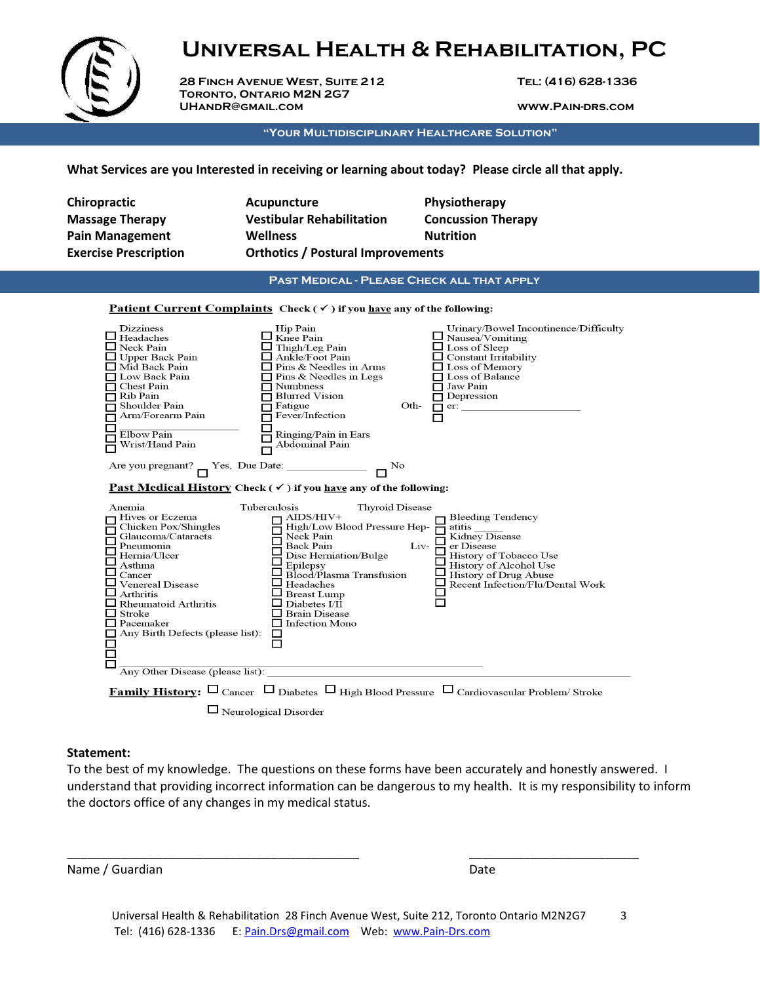

 **28 Finch Avenue West, Suite 212 Tel: (416) 628-1336 Toronto, Ontario M2N 2G7 UHandR@gmail.com www.Pain-drs.com**

**"Your Multidisciplinary Healthcare Solution"**

**What Services are you Interested in receiving or learning about today? Please circle all that apply.** 

| <b>Chiropractic</b><br><b>Massage Therapy</b><br><b>Pain Management</b><br><b>Exercise Prescription</b>                                                                                                                                                                                                | Acupuncture<br><b>Vestibular Rehabilitation</b><br>Wellness<br><b>Orthotics / Postural Improvements</b>                                                                                                                                                                                                        | Physiotherapy<br><b>Concussion Therapy</b><br><b>Nutrition</b>                                                                                                                                                                                |  |  |  |  |  |
|--------------------------------------------------------------------------------------------------------------------------------------------------------------------------------------------------------------------------------------------------------------------------------------------------------|----------------------------------------------------------------------------------------------------------------------------------------------------------------------------------------------------------------------------------------------------------------------------------------------------------------|-----------------------------------------------------------------------------------------------------------------------------------------------------------------------------------------------------------------------------------------------|--|--|--|--|--|
| <b>PAST MEDICAL - PLEASE CHECK ALL THAT APPLY</b>                                                                                                                                                                                                                                                      |                                                                                                                                                                                                                                                                                                                |                                                                                                                                                                                                                                               |  |  |  |  |  |
| Patient Current Complaints Check ( $\checkmark$ ) if you have any of the following:                                                                                                                                                                                                                    |                                                                                                                                                                                                                                                                                                                |                                                                                                                                                                                                                                               |  |  |  |  |  |
| <b>Dizziness</b><br>$\Box$ Headaches<br>$\Box$ Neck Pain<br>$\Box$ Upper Back Pain<br>Mid Back Pain<br>□ Low Back Pain<br>□ Chest Pain<br>$\Box$ Rib Pain<br>□ Shoulder Pain<br>Arm/Forearm Pain<br>Elbow Pain<br>Wrist/Hand Pain                                                                      | Hip Pain<br>$\Box$ Knee Pain<br>$\Box$ Thigh/Leg Pain<br>$\Box$ Ankle/Foot Pain<br>$\Box$ Pins & Needles in Arms<br>$\Box$ Pins & Needles in Legs<br>$\Box$ Numbness<br>$\Box$ Blurred Vision<br>Fatigue<br>Oth-<br>Fever/Infection<br>Ringing/Pain in Ears<br>Abdominal Pain                                  | Urinary/Bowel Incontinence/Difficulty<br>$\mathbf{\underline{u}}$ Nausea/Vomiting<br>$\Box$ Loss of Sleep<br>$\Box$ Constant Irritability<br>$\Box$ Loss of Memory<br>□ Loss of Balance<br>$\Box$ Jaw Pain<br>$\Box$ Depression<br>$\Box$ er: |  |  |  |  |  |
| Are you pregnant? $\Box$ Yes, Due Date: $\Box$                                                                                                                                                                                                                                                         | $\overline{\Box}^{\rm No}$<br><b>Past Medical History Check (<math>\checkmark</math>) if you have any of the following:</b>                                                                                                                                                                                    |                                                                                                                                                                                                                                               |  |  |  |  |  |
| Anemia<br>Hives or Eczema<br>Chicken Pox/Shingles<br>Glaucoma/Cataracts<br>Pneumonia<br>Hernia/Ulcer<br>Asthma<br>$\Box$ Cancer<br>$\sqcup$ Venereal Disease<br>$\sqcup$ Arthritis<br>$\Box$ Rheumatoid Arthritis<br>$\Box$ Stroke<br>$\Box$ Pacemaker<br>$\Box$ Any Birth Defects (please list):<br>П | <b>Thyroid Disease</b><br>Tuberculosis<br>AIDS/HIV+<br>High/Low Blood Pressure Hep-<br>Neck Pain<br>Back Pain<br>Disc Herniation/Bulge<br>Epilepsy<br>Blood/Plasma Transfusion<br>Headaches<br><b>Breast Lump</b><br>$\mathsf I$ Diabetes I/II<br>$\Box$ Brain Disease<br>$\Box$ Infection Mono<br>$\Box$<br>П | <b>Bleeding Tendency</b><br>atitis<br>Kidney Disease<br>Liv-<br>er Disease<br>History of Tobacco Use<br>History of Alcohol Use<br>History of Drug Abuse<br>Recent Infection/Flu/Dental Work                                                   |  |  |  |  |  |
| Any Other Disease (please list):                                                                                                                                                                                                                                                                       |                                                                                                                                                                                                                                                                                                                |                                                                                                                                                                                                                                               |  |  |  |  |  |
|                                                                                                                                                                                                                                                                                                        | $\Box$ Neurological Disorder                                                                                                                                                                                                                                                                                   | <b>Family History:</b> $\square$ Cancer $\square$ Diabetes $\square$ High Blood Pressure $\square$ Cardiovascular Problem/ Stroke                                                                                                             |  |  |  |  |  |

# **Statement:**

To the best of my knowledge. The questions on these forms have been accurately and honestly answered. I understand that providing incorrect information can be dangerous to my health. It is my responsibility to inform the doctors office of any changes in my medical status.

Name / Guardian Date

\_\_\_\_\_\_\_\_\_\_\_\_\_\_\_\_\_\_\_\_\_\_\_\_\_\_\_\_\_\_\_\_\_\_\_\_\_\_\_\_\_\_\_ \_\_\_\_\_\_\_\_\_\_\_\_\_\_\_\_\_\_\_\_\_\_\_\_\_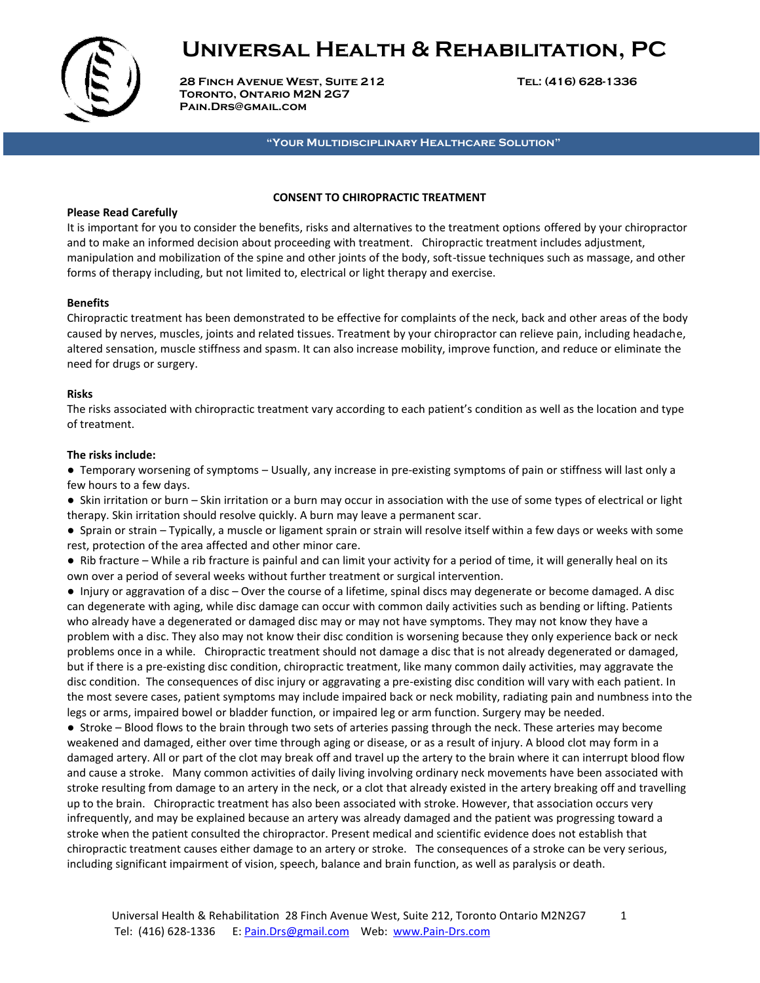

 **28 Finch Avenue West, Suite 212 Tel: (416) 628-1336 Toronto, Ontario M2N 2G7 Pain.Drs@gmail.com**

**"Your Multidisciplinary Healthcare Solution"**

#### **CONSENT TO CHIROPRACTIC TREATMENT**

### **Please Read Carefully**

It is important for you to consider the benefits, risks and alternatives to the treatment options offered by your chiropractor and to make an informed decision about proceeding with treatment. Chiropractic treatment includes adjustment, manipulation and mobilization of the spine and other joints of the body, soft-tissue techniques such as massage, and other forms of therapy including, but not limited to, electrical or light therapy and exercise.

# **Benefits**

Chiropractic treatment has been demonstrated to be effective for complaints of the neck, back and other areas of the body caused by nerves, muscles, joints and related tissues. Treatment by your chiropractor can relieve pain, including headache, altered sensation, muscle stiffness and spasm. It can also increase mobility, improve function, and reduce or eliminate the need for drugs or surgery.

### **Risks**

The risks associated with chiropractic treatment vary according to each patient's condition as well as the location and type of treatment.

### **The risks include:**

● Temporary worsening of symptoms – Usually, any increase in pre-existing symptoms of pain or stiffness will last only a few hours to a few days.

● Skin irritation or burn – Skin irritation or a burn may occur in association with the use of some types of electrical or light therapy. Skin irritation should resolve quickly. A burn may leave a permanent scar.

● Sprain or strain – Typically, a muscle or ligament sprain or strain will resolve itself within a few days or weeks with some rest, protection of the area affected and other minor care.

● Rib fracture – While a rib fracture is painful and can limit your activity for a period of time, it will generally heal on its own over a period of several weeks without further treatment or surgical intervention.

● Injury or aggravation of a disc – Over the course of a lifetime, spinal discs may degenerate or become damaged. A disc can degenerate with aging, while disc damage can occur with common daily activities such as bending or lifting. Patients who already have a degenerated or damaged disc may or may not have symptoms. They may not know they have a problem with a disc. They also may not know their disc condition is worsening because they only experience back or neck problems once in a while. Chiropractic treatment should not damage a disc that is not already degenerated or damaged, but if there is a pre-existing disc condition, chiropractic treatment, like many common daily activities, may aggravate the disc condition. The consequences of disc injury or aggravating a pre-existing disc condition will vary with each patient. In the most severe cases, patient symptoms may include impaired back or neck mobility, radiating pain and numbness into the legs or arms, impaired bowel or bladder function, or impaired leg or arm function. Surgery may be needed.

● Stroke – Blood flows to the brain through two sets of arteries passing through the neck. These arteries may become weakened and damaged, either over time through aging or disease, or as a result of injury. A blood clot may form in a damaged artery. All or part of the clot may break off and travel up the artery to the brain where it can interrupt blood flow and cause a stroke. Many common activities of daily living involving ordinary neck movements have been associated with stroke resulting from damage to an artery in the neck, or a clot that already existed in the artery breaking off and travelling up to the brain. Chiropractic treatment has also been associated with stroke. However, that association occurs very infrequently, and may be explained because an artery was already damaged and the patient was progressing toward a stroke when the patient consulted the chiropractor. Present medical and scientific evidence does not establish that chiropractic treatment causes either damage to an artery or stroke. The consequences of a stroke can be very serious, including significant impairment of vision, speech, balance and brain function, as well as paralysis or death.